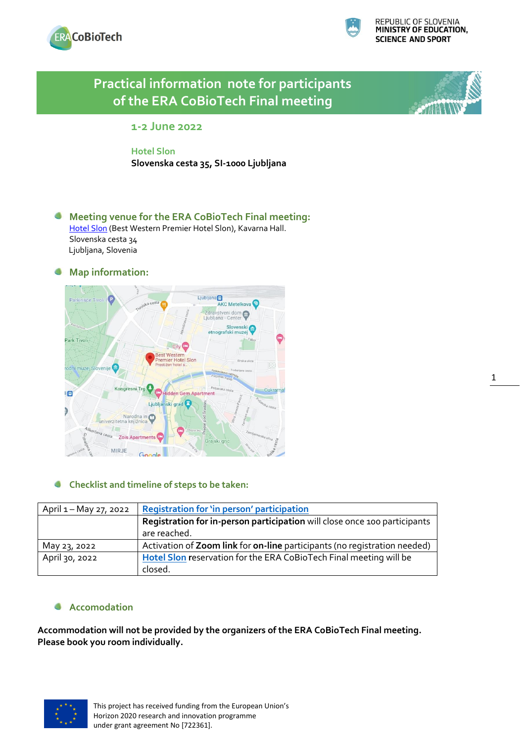



# **Practical information note for participants of the ERA CoBioTech Final meeting**   $\overline{\phantom{a}}$ **1-2 June 2022 Hotel Slon Slovenska cesta 35, SI-1000 Ljubljana Meeting venue for the ERA CoBioTech Final meeting:** [Hotel Slon](https://www.hotelslon.com/) (Best Western Premier Hotel Slon), Kavarna Hall. Slovenska cesta 34 Ljubljana, Slovenia **Map information:** Ljubljana **T.**<br>AKC Metelkova **O** Zdravstveni dom<br>Liubliana - Center Slovensk<br>etnografski muze Park Tivoli City<sup>C</sup> **TWester** estern<br>er Hotel Slor io den Gem Apart Ljubljanski grad Narodna i univerzitetna knjižnica

#### O **Checklist and timeline of steps to be taken:**

| April 1 – May 27, 2022 | <b>Registration for 'in person' participation</b>                         |
|------------------------|---------------------------------------------------------------------------|
|                        | Registration for in-person participation will close once 100 participants |
|                        | are reached.                                                              |
| May 23, 2022           | Activation of Zoom link for on-line participants (no registration needed) |
| April 30, 2022         | Hotel Slon reservation for the ERA CoBioTech Final meeting will be        |
|                        | closed.                                                                   |

### **Accomodation**

sta

Zois Apartn MIRJE

**Accommodation will not be provided by the organizers of the ERA CoBioTech Final meeting. Please book you room individually.**

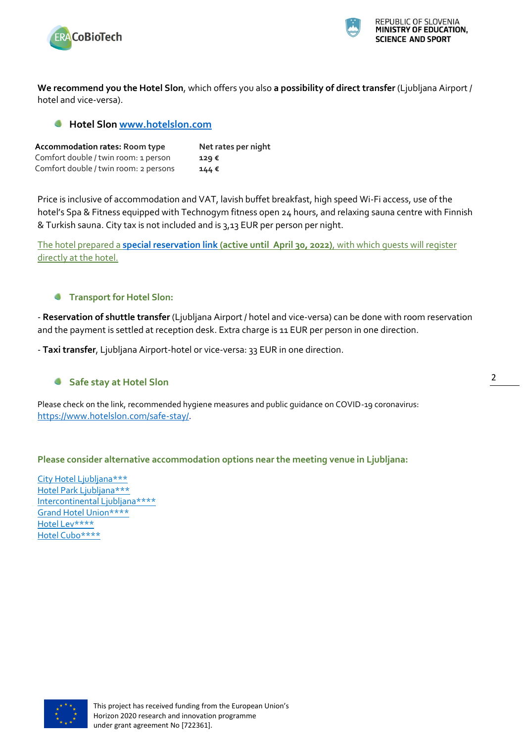



**We recommend you the Hotel Slon**, which offers you also **a possibility of direct transfer** (Ljubljana Airport / hotel and vice-versa).

### **Hotel Slo[n www.hotelslon.com](http://www.hotelslon.com/)**

| <b>Accommodation rates: Room type</b> | Net rates per night |
|---------------------------------------|---------------------|
| Comfort double / twin room: 1 person  | $129 \epsilon$      |
| Comfort double / twin room: 2 persons | $144$ €             |

Price is inclusive of accommodation and VAT, lavish buffet breakfast, high speed Wi-Fi access, use of the hotel's Spa & Fitness equipped with Technogym fitness open 24 hours, and relaxing sauna centre with Finnish & Turkish sauna. City tax is not included and is 3,13 EUR per person per night.

The hotel prepared a **[special reservation link](https://reservations.travelclick.com/102655?groupID=3299368) (active until April 30, 2022)**, with which guests will register directly at the hotel.

#### **Transport for Hotel Slon:**

- **Reservation of shuttle transfer** (Ljubljana Airport / hotel and vice-versa) can be done with room reservation and the payment is settled at reception desk. Extra charge is 11 EUR per person in one direction.

- **Taxi transfer**, Ljubljana Airport-hotel or vice-versa: 33 EUR in one direction.

#### **Safe stay at Hotel Slon**

Please check on the link, recommended hygiene measures and public guidance on COVID-19 coronavirus: [https://www.hotelslon.com/safe-stay/.](https://www.hotelslon.com/safe-stay/)

#### **Please consider alternative accommodation options near the meeting venue in Ljubljana:**

[City Hotel Ljubljana\\*\\*\\*](https://www.cityhotel.si/en/) [Hotel Park Ljubljana\\*\\*\\*](https://www.hotelpark.si/en/) [Intercontinental Ljubljana\\*\\*\\*\\*](https://www.ihg.com/intercontinental/hotels/gb/en/ljubljana/ljuha/hoteldetail) [Grand Hotel Union\\*\\*\\*\\*](https://www.union-hotels.eu/en/grand-hotel-union/) [Hotel Lev\\*\\*\\*\\*](https://www.union-hotels.eu/en/hotel-lev/) [Hotel Cubo\\*\\*\\*\\*](https://www.hotelcubo.com/)

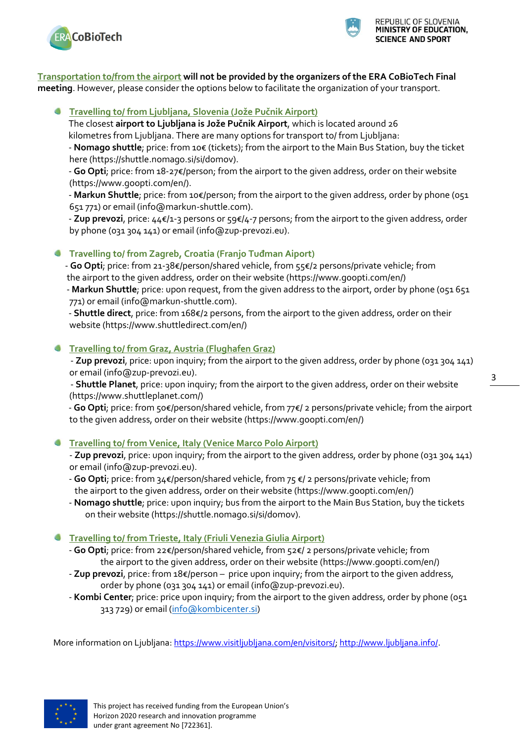



#### **Transportation to/from the airport will not be provided by the organizers of the ERA CoBioTech Final meeting**. However, please consider the options below to facilitate the organization of your transport.

#### **Travelling to/ from Ljubljana, Slovenia (Jože Pučnik Airport)**

 The closest **airport to Ljubljana is Jože Pučnik Airport**, which is located around 26 kilometres from Ljubljana. There are many options for transport to/ from Ljubljana:

 - **Nomago shuttle**; price: from 10€ (tickets); from the airport to the Main Bus Station, buy the ticket here (https://shuttle.nomago.si/si/domov).

 - **Go Opti**; price: from 18-27€/person; from the airport to the given address, order on their website (https://www.goopti.com/en/).

 - **Markun Shuttle**; price: from 10€/person; from the airport to the given address, order by phone (051 651 771) or email (info@markun-shuttle.com).

 - **Zup prevozi**, price: 44€/1-3 persons or 59€/4-7 persons; from the airport to the given address, order by phone (031 304 141) or email (info@zup-prevozi.eu).

## **Travelling to/ from Zagreb, Croatia (Franjo Tuđman Aiport)**

 - **Go Opti**; price: from 21-38€/person/shared vehicle, from 55€/2 persons/private vehicle; from the airport to the given address, order on their website (https://www.goopti.com/en/)

 - **Markun Shuttle**; price: upon request, from the given address to the airport, order by phone (051 651 771) or email (info@markun-shuttle.com).

 - **Shuttle direct**, price: from 168€/2 persons, from the airport to the given address, order on their website (https://www.shuttledirect.com/en/)

### **Travelling to/ from Graz, Austria (Flughafen Graz)**

 - **Zup prevozi**, price: upon inquiry; from the airport to the given address, order by phone (031 304 141) or email (info@zup-prevozi.eu).

 - **Shuttle Planet**, price: upon inquiry; from the airport to the given address, order on their website (https://www.shuttleplanet.com/)

 - **Go Opti**; price: from 50€/person/shared vehicle, from 77€/ 2 persons/private vehicle; from the airport to the given address, order on their website (https://www.goopti.com/en/)

### **Travelling to/ from Venice, Italy (Venice Marco Polo Airport)**

- **Zup prevozi**, price: upon inquiry; from the airport to the given address, order by phone (031 304 141) or email (info@zup-prevozi.eu).

- **Go Opti**; price: from 34€/person/shared vehicle, from 75 €/ 2 persons/private vehicle; from the airport to the given address, order on their website (https://www.goopti.com/en/)
- **Nomago shuttle**; price: upon inquiry; bus from the airport to the Main Bus Station, buy the tickets on their website (https://shuttle.nomago.si/si/domov).

### **Travelling to/ from Trieste, Italy (Friuli Venezia Giulia Airport)**

- **Go Opti**; price: from 22€/person/shared vehicle, from 52€/ 2 persons/private vehicle; from the airport to the given address, order on their website (https://www.goopti.com/en/)
- **Zup prevozi**, price: from 18€/person price upon inquiry; from the airport to the given address, order by phone (031 304 141) or email (info@zup-prevozi.eu).
- **Kombi Center**; price: price upon inquiry; from the airport to the given address, order by phone (051 313 729) or email [\(info@kombicenter.si\)](mailto:info@kombicenter.si)

More information on Ljubljana: [https://www.visitljubljana.com/en/visitors/;](https://www.visitljubljana.com/en/visitors/) [http://www.ljubljana.info/.](http://www.ljubljana.info/)